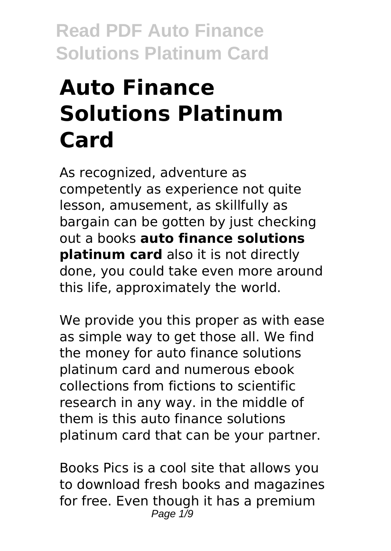# **Auto Finance Solutions Platinum Card**

As recognized, adventure as competently as experience not quite lesson, amusement, as skillfully as bargain can be gotten by just checking out a books **auto finance solutions platinum card** also it is not directly done, you could take even more around this life, approximately the world.

We provide you this proper as with ease as simple way to get those all. We find the money for auto finance solutions platinum card and numerous ebook collections from fictions to scientific research in any way. in the middle of them is this auto finance solutions platinum card that can be your partner.

Books Pics is a cool site that allows you to download fresh books and magazines for free. Even though it has a premium Page 1/9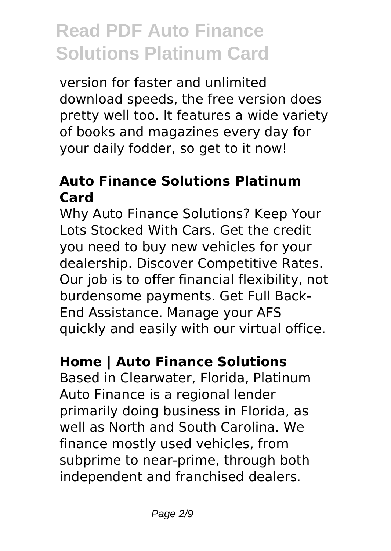version for faster and unlimited download speeds, the free version does pretty well too. It features a wide variety of books and magazines every day for your daily fodder, so get to it now!

### **Auto Finance Solutions Platinum Card**

Why Auto Finance Solutions? Keep Your Lots Stocked With Cars. Get the credit you need to buy new vehicles for your dealership. Discover Competitive Rates. Our job is to offer financial flexibility, not burdensome payments. Get Full Back-End Assistance. Manage your AFS quickly and easily with our virtual office.

## **Home | Auto Finance Solutions**

Based in Clearwater, Florida, Platinum Auto Finance is a regional lender primarily doing business in Florida, as well as North and South Carolina. We finance mostly used vehicles, from subprime to near-prime, through both independent and franchised dealers.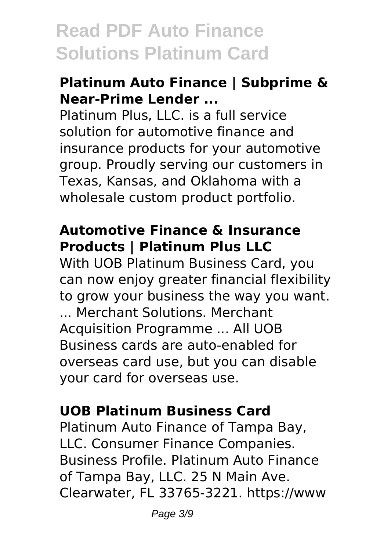#### **Platinum Auto Finance | Subprime & Near-Prime Lender ...**

Platinum Plus, LLC. is a full service solution for automotive finance and insurance products for your automotive group. Proudly serving our customers in Texas, Kansas, and Oklahoma with a wholesale custom product portfolio.

#### **Automotive Finance & Insurance Products | Platinum Plus LLC**

With UOB Platinum Business Card, you can now enjoy greater financial flexibility to grow your business the way you want. ... Merchant Solutions. Merchant Acquisition Programme ... All UOB Business cards are auto-enabled for overseas card use, but you can disable your card for overseas use.

### **UOB Platinum Business Card**

Platinum Auto Finance of Tampa Bay, LLC. Consumer Finance Companies. Business Profile. Platinum Auto Finance of Tampa Bay, LLC. 25 N Main Ave. Clearwater, FL 33765-3221. https://www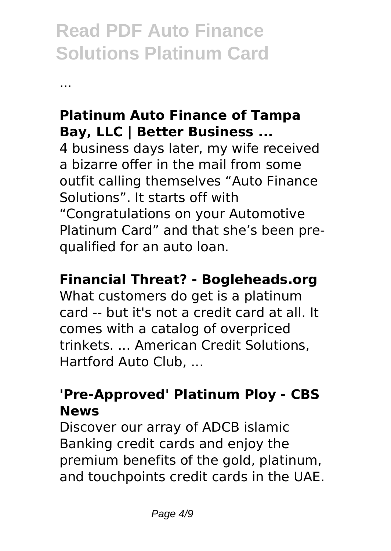...

### **Platinum Auto Finance of Tampa Bay, LLC | Better Business ...**

4 business days later, my wife received a bizarre offer in the mail from some outfit calling themselves "Auto Finance Solutions". It starts off with "Congratulations on your Automotive Platinum Card" and that she's been prequalified for an auto loan.

### **Financial Threat? - Bogleheads.org**

What customers do get is a platinum card -- but it's not a credit card at all. It comes with a catalog of overpriced trinkets. ... American Credit Solutions, Hartford Auto Club, ...

### **'Pre-Approved' Platinum Ploy - CBS News**

Discover our array of ADCB islamic Banking credit cards and enjoy the premium benefits of the gold, platinum, and touchpoints credit cards in the UAE.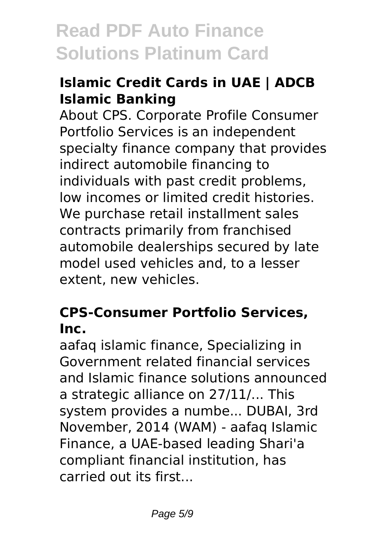### **Islamic Credit Cards in UAE | ADCB Islamic Banking**

About CPS. Corporate Profile Consumer Portfolio Services is an independent specialty finance company that provides indirect automobile financing to individuals with past credit problems, low incomes or limited credit histories. We purchase retail installment sales contracts primarily from franchised automobile dealerships secured by late model used vehicles and, to a lesser extent, new vehicles.

### **CPS-Consumer Portfolio Services, Inc.**

aafaq islamic finance, Specializing in Government related financial services and Islamic finance solutions announced a strategic alliance on 27/11/... This system provides a numbe... DUBAI, 3rd November, 2014 (WAM) - aafaq Islamic Finance, a UAE-based leading Shari'a compliant financial institution, has carried out its first...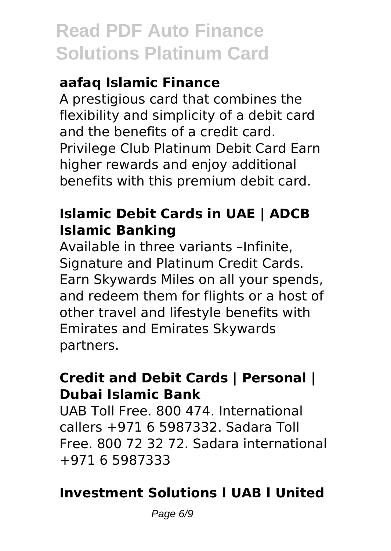### **aafaq Islamic Finance**

A prestigious card that combines the flexibility and simplicity of a debit card and the benefits of a credit card. Privilege Club Platinum Debit Card Earn higher rewards and enjoy additional benefits with this premium debit card.

### **Islamic Debit Cards in UAE | ADCB Islamic Banking**

Available in three variants –Infinite, Signature and Platinum Credit Cards. Earn Skywards Miles on all your spends, and redeem them for flights or a host of other travel and lifestyle benefits with Emirates and Emirates Skywards partners.

#### **Credit and Debit Cards | Personal | Dubai Islamic Bank**

UAB Toll Free. 800 474. International callers +971 6 5987332. Sadara Toll Free. 800 72 32 72. Sadara international +971 6 5987333

### **Investment Solutions l UAB l United**

Page 6/9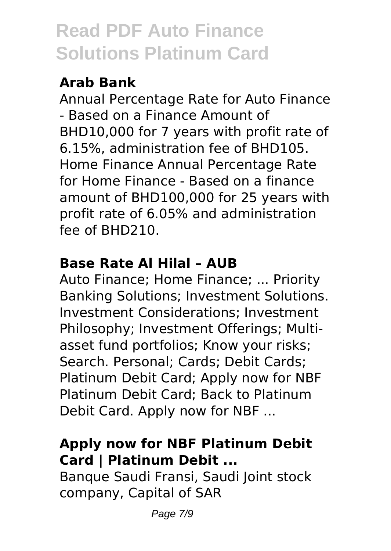### **Arab Bank**

Annual Percentage Rate for Auto Finance - Based on a Finance Amount of BHD10,000 for 7 years with profit rate of 6.15%, administration fee of BHD105. Home Finance Annual Percentage Rate for Home Finance - Based on a finance amount of BHD100,000 for 25 years with profit rate of 6.05% and administration fee of BHD210.

### **Base Rate Al Hilal – AUB**

Auto Finance; Home Finance; ... Priority Banking Solutions; Investment Solutions. Investment Considerations; Investment Philosophy; Investment Offerings; Multiasset fund portfolios; Know your risks; Search. Personal; Cards; Debit Cards; Platinum Debit Card; Apply now for NBF Platinum Debit Card; Back to Platinum Debit Card. Apply now for NBF ...

### **Apply now for NBF Platinum Debit Card | Platinum Debit ...**

Banque Saudi Fransi, Saudi Joint stock company, Capital of SAR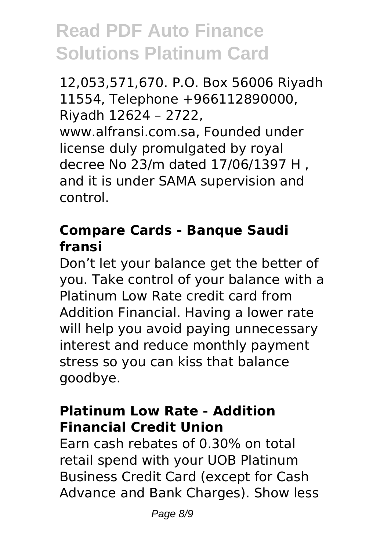12,053,571,670. P.O. Box 56006 Riyadh 11554, Telephone +966112890000, Riyadh 12624 – 2722, www.alfransi.com.sa, Founded under license duly promulgated by royal decree No 23/m dated 17/06/1397 H , and it is under SAMA supervision and control.

#### **Compare Cards - Banque Saudi fransi**

Don't let your balance get the better of you. Take control of your balance with a Platinum Low Rate credit card from Addition Financial. Having a lower rate will help you avoid paying unnecessary interest and reduce monthly payment stress so you can kiss that balance goodbye.

### **Platinum Low Rate - Addition Financial Credit Union**

Earn cash rebates of 0.30% on total retail spend with your UOB Platinum Business Credit Card (except for Cash Advance and Bank Charges). Show less